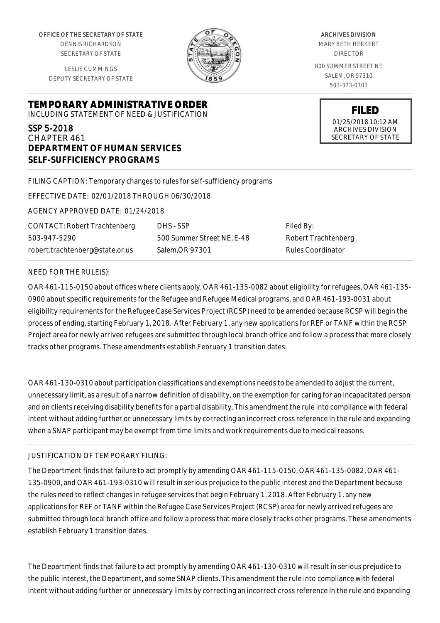OFFICE OF THE SECRETARY OF STATE

DENNIS RICHARDSON SECRETARY OF STATE

LESLIE CUMMINGS DEPUTY SECRETARY OF STATE

# **TEMPORARY ADMINISTRATIVE ORDER**

INCLUDING STATEMENT OF NEED & JUSTIFICATION

# SSP 5-2018

CHAPTER 461 **DEPARTMENT OF HUMAN SERVICES SELF-SUFFICIENCY PROGRAMS**

FILING CAPTION: Temporary changes to rules for self-sufficiency programs

EFFECTIVE DATE: 02/01/2018 THROUGH 06/30/2018

AGENCY APPROVED DATE: 01/24/2018

CONTACT: Robert Trachtenberg 503-947-5290 robert.trachtenberg@state.or.us

500 Summer Street NE, E-48 Salem,OR 97301

DHS - SSP

Filed By: Robert Trachtenberg Rules Coordinator

#### NEED FOR THE RULE(S):

OAR 461-115-0150 about offices where clients apply, OAR 461-135-0082 about eligibility for refugees, OAR 461-135- 0900 about specific requirements for the Refugee and Refugee Medical programs, and OAR 461-193-0031 about eligibility requirements for the Refugee Case Services Project (RCSP) need to be amended because RCSP will begin the process of ending, starting February 1, 2018. After February 1, any new applications for REF or TANF within the RCSP Project area for newly arrived refugees are submitted through local branch office and follow a process that more closely tracks other programs. These amendments establish February 1 transition dates.

OAR 461-130-0310 about participation classifications and exemptions needs to be amended to adjust the current, unnecessary limit, as a result of a narrow definition of disability, on the exemption for caring for an incapacitated person and on clients receiving disability benefits for a partial disability. This amendment the rule into compliance with federal intent without adding further or unnecessary limits by correcting an incorrect cross reference in the rule and expanding when a SNAP participant may be exempt from time limits and work requirements due to medical reasons.

## JUSTIFICATION OF TEMPORARY FILING:

The Department finds that failure to act promptly by amending OAR 461-115-0150, OAR 461-135-0082, OAR 461- 135-0900, and OAR 461-193-0310 will result in serious prejudice to the public interest and the Department because the rules need to reflect changes in refugee services that begin February 1, 2018. After February 1, any new applications for REF or TANF within the Refugee Case Services Project (RCSP) area for newly arrived refugees are submitted through local branch office and follow a process that more closely tracks other programs. These amendments establish February 1 transition dates.

The Department finds that failure to act promptly by amending OAR 461-130-0310 will result in serious prejudice to the public interest, the Department, and some SNAP clients. This amendment the rule into compliance with federal intent without adding further or unnecessary limits by correcting an incorrect cross reference in the rule and expanding



ARCHIVES DIVISION MARY BETH HERKERT DIRECTOR 800 SUMMER STREET NE SALEM, OR 97310 503-373-0701

> **FILED** 01/25/2018 10:12 AM ARCHIVES DIVISION SECRETARY OF STATE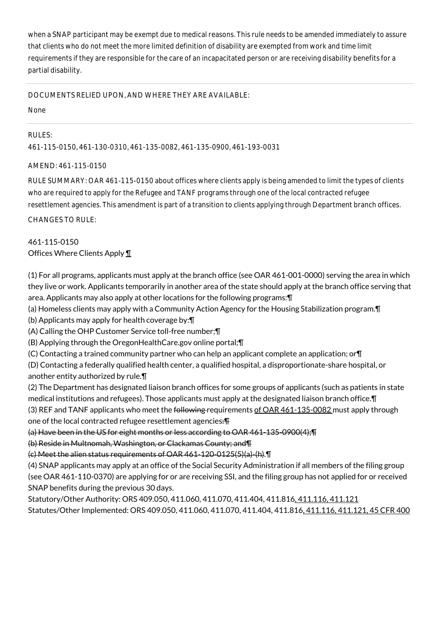when a SNAP participant may be exempt due to medical reasons. This rule needs to be amended immediately to assure that clients who do not meet the more limited definition of disability are exempted from work and time limit requirements if they are responsible for the care of an incapacitated person or are receiving disability benefits for a partial disability.

## DOCUMENTS RELIED UPON, AND WHERE THEY ARE AVAILABLE:

None

# RULES:

461-115-0150, 461-130-0310, 461-135-0082, 461-135-0900, 461-193-0031

# AMEND: 461-115-0150

RULE SUMMARY: OAR 461-115-0150 about offices where clients apply is being amended to limit the types of clients who are required to apply for the Refugee and TANF programs through one of the local contracted refugee resettlement agencies. This amendment is part of a transition to clients applying through Department branch offices.

CHANGES TO RULE:

# 461-115-0150 Offices Where Clients Apply ¶

(1) For all programs, applicants must apply at the branch office (see OAR 461-001-0000) serving the area in which they live or work. Applicants temporarily in another area of the state should apply at the branch office serving that area. Applicants may also apply at other locations for the following programs:¶

(a) Homeless clients may apply with a Community Action Agency for the Housing Stabilization program.¶

(b) Applicants may apply for health coverage by:¶

(A) Calling the OHP Customer Service toll-free number;¶

(B) Applying through the OregonHealthCare.gov online portal;¶

(C) Contacting a trained community partner who can help an applicant complete an application; or¶

(D) Contacting a federally qualified health center, a qualified hospital, a disproportionate-share hospital, or another entity authorized by rule.¶

(2) The Department has designated liaison branch offices for some groups of applicants (such as patients in state medical institutions and refugees). Those applicants must apply at the designated liaison branch office.¶

(3) REF and TANF applicants who meet the following requirements of OAR 461-135-0082 must apply through one of the local contracted refugee resettlement agencies:¶

(a) Have been in the US for eight months or less according to OAR 461-135-0900(4);¶

(b) Reside in Multnomah, Washington, or Clackamas County; and¶

(c) Meet the alien status requirements of OAR 461-120-0125(5)(a)-(h).¶

(4) SNAP applicants may apply at an office of the Social Security Administration if all members of the filing group (see OAR 461-110-0370) are applying for or are receiving SSI, and the filing group has not applied for or received SNAP benefits during the previous 30 days.

Statutory/Other Authority: ORS 409.050, 411.060, 411.070, 411.404, 411.816, 411.116, 411.121 Statutes/Other Implemented: ORS 409.050, 411.060, 411.070, 411.404, 411.816, 411.116, 411.121, 45 CFR 400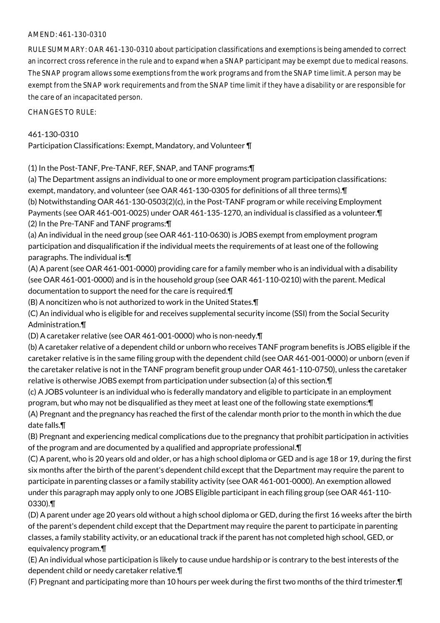## AMEND: 461-130-0310

RULE SUMMARY: OAR 461-130-0310 about participation classifications and exemptions is being amended to correct an incorrect cross reference in the rule and to expand when a SNAP participant may be exempt due to medical reasons. The SNAP program allows some exemptions from the work programs and from the SNAP time limit. A person may be exempt from the SNAP work requirements and from the SNAP time limit if they have a disability or are responsible for the care of an incapacitated person.

CHANGES TO RULE:

# 461-130-0310

Participation Classifications: Exempt, Mandatory, and Volunteer ¶

(1) In the Post-TANF, Pre-TANF, REF, SNAP, and TANF programs:¶

(a) The Department assigns an individual to one or more employment program participation classifications: exempt, mandatory, and volunteer (see OAR 461-130-0305 for definitions of all three terms).¶ (b) Notwithstanding OAR 461-130-0503(2)(c), in the Post-TANF program or while receiving Employment Payments (see OAR 461-001-0025) under OAR 461-135-1270, an individual is classified as a volunteer.¶ (2) In the Pre-TANF and TANF programs:¶

(a) An individual in the need group (see OAR 461-110-0630) is JOBS exempt from employment program participation and disqualification if the individual meets the requirements of at least one of the following paragraphs. The individual is:¶

(A) A parent (see OAR 461-001-0000) providing care for a family member who is an individual with a disability (see OAR 461-001-0000) and is in the household group (see OAR 461-110-0210) with the parent. Medical documentation to support the need for the care is required.¶

(B) A noncitizen who is not authorized to work in the United States.¶

(C) An individual who is eligible for and receives supplemental security income (SSI) from the Social Security Administration.¶

(D) A caretaker relative (see OAR 461-001-0000) who is non-needy.¶

(b) A caretaker relative of a dependent child or unborn who receives TANF program benefits is JOBS eligible if the caretaker relative is in the same filing group with the dependent child (see OAR 461-001-0000) or unborn (even if the caretaker relative is not in the TANF program benefit group under OAR 461-110-0750), unless the caretaker relative is otherwise JOBS exempt from participation under subsection (a) of this section.¶

(c) A JOBS volunteer is an individual who is federally mandatory and eligible to participate in an employment program, but who may not be disqualified as they meet at least one of the following state exemptions:¶ (A) Pregnant and the pregnancy has reached the first of the calendar month prior to the month in which the due date falls.¶

(B) Pregnant and experiencing medical complications due to the pregnancy that prohibit participation in activities of the program and are documented by a qualified and appropriate professional.¶

(C) A parent, who is 20 years old and older, or has a high school diploma or GED and is age 18 or 19, during the first six months after the birth of the parent's dependent child except that the Department may require the parent to participate in parenting classes or a family stability activity (see OAR 461-001-0000). An exemption allowed under this paragraph may apply only to one JOBS Eligible participant in each filing group (see OAR 461-110- 0330).¶

(D) A parent under age 20 years old without a high school diploma or GED, during the first 16 weeks after the birth of the parent's dependent child except that the Department may require the parent to participate in parenting classes, a family stability activity, or an educational track if the parent has not completed high school, GED, or equivalency program.¶

(E) An individual whose participation is likely to cause undue hardship or is contrary to the best interests of the dependent child or needy caretaker relative.¶

(F) Pregnant and participating more than 10 hours per week during the first two months of the third trimester.¶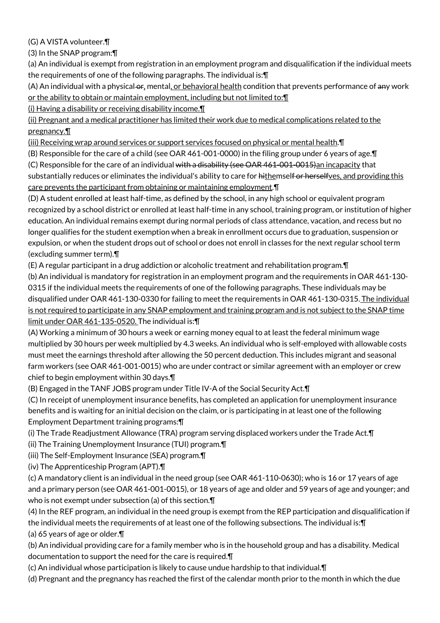(G) A VISTA volunteer.¶

(3) In the SNAP program:¶

(a) An individual is exempt from registration in an employment program and disqualification if the individual meets the requirements of one of the following paragraphs. The individual is:¶

(A) An individual with a physical or, mental, or behavioral health condition that prevents performance of any work or the ability to obtain or maintain employment, including but not limited to:¶

(i) Having a disability or receiving disability income.¶

(ii) Pregnant and a medical practitioner has limited their work due to medical complications related to the pregnancy.¶

(iii) Receiving wrap around services or support services focused on physical or mental health.¶

(B) Responsible for the care of a child (see OAR 461-001-0000) in the filing group under 6 years of age.¶

(C) Responsible for the care of an individual with a disability (see OAR  $461-001-0015$ ) an incapacity that substantially reduces or eliminates the individual's ability to care for hithemself or herselfves, and providing this care prevents the participant from obtaining or maintaining employment.¶

(D) A student enrolled at least half-time, as defined by the school, in any high school or equivalent program recognized by a school district or enrolled at least half-time in any school, training program, or institution of higher education. An individual remains exempt during normal periods of class attendance, vacation, and recess but no longer qualifies for the student exemption when a break in enrollment occurs due to graduation, suspension or expulsion, or when the student drops out of school or does not enroll in classes for the next regular school term (excluding summer term).¶

(E) A regular participant in a drug addiction or alcoholic treatment and rehabilitation program.¶

(b) An individual is mandatory for registration in an employment program and the requirements in OAR 461-130- 0315 if the individual meets the requirements of one of the following paragraphs. These individuals may be disqualified under OAR 461-130-0330 for failing to meet the requirements in OAR 461-130-0315. The individual is not required to participate in any SNAP employment and training program and is not subject to the SNAP time limit under OAR 461-135-0520. The individual is:¶

(A) Working a minimum of 30 hours a week or earning money equal to at least the federal minimum wage multiplied by 30 hours per week multiplied by 4.3 weeks. An individual who is self-employed with allowable costs must meet the earnings threshold after allowing the 50 percent deduction. This includes migrant and seasonal farm workers (see OAR 461-001-0015) who are under contract or similar agreement with an employer or crew chief to begin employment within 30 days.¶

(B) Engaged in the TANF JOBS program under Title IV-A of the Social Security Act.¶

(C) In receipt of unemployment insurance benefits, has completed an application for unemployment insurance benefits and is waiting for an initial decision on the claim, or is participating in at least one of the following Employment Department training programs:¶

(i) The Trade Readjustment Allowance (TRA) program serving displaced workers under the Trade Act.¶

(ii) The Training Unemployment Insurance (TUI) program.¶

(iii) The Self-Employment Insurance (SEA) program.¶

(iv) The Apprenticeship Program (APT).¶

(c) A mandatory client is an individual in the need group (see OAR 461-110-0630); who is 16 or 17 years of age and a primary person (see OAR 461-001-0015), or 18 years of age and older and 59 years of age and younger; and who is not exempt under subsection (a) of this section.¶

(4) In the REF program, an individual in the need group is exempt from the REP participation and disqualification if the individual meets the requirements of at least one of the following subsections. The individual is:¶

(a) 65 years of age or older.¶

(b) An individual providing care for a family member who is in the household group and has a disability. Medical documentation to support the need for the care is required.¶

(c) An individual whose participation is likely to cause undue hardship to that individual.¶

(d) Pregnant and the pregnancy has reached the first of the calendar month prior to the month in which the due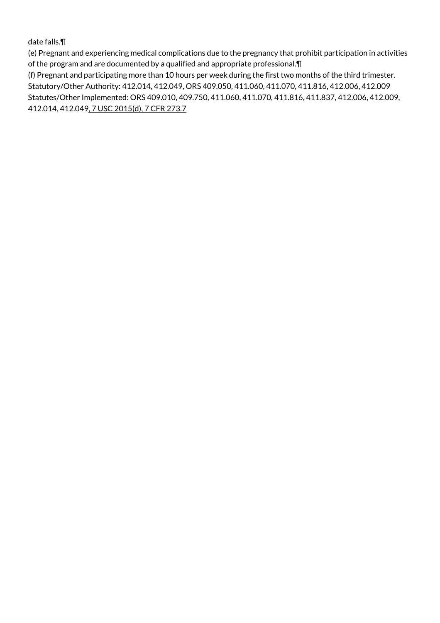date falls.¶

(e) Pregnant and experiencing medical complications due to the pregnancy that prohibit participation in activities of the program and are documented by a qualified and appropriate professional.¶

(f) Pregnant and participating more than 10 hours per week during the first two months of the third trimester. Statutory/Other Authority: 412.014, 412.049, ORS 409.050, 411.060, 411.070, 411.816, 412.006, 412.009 Statutes/Other Implemented: ORS 409.010, 409.750, 411.060, 411.070, 411.816, 411.837, 412.006, 412.009, 412.014, 412.049, 7 USC 2015(d), 7 CFR 273.7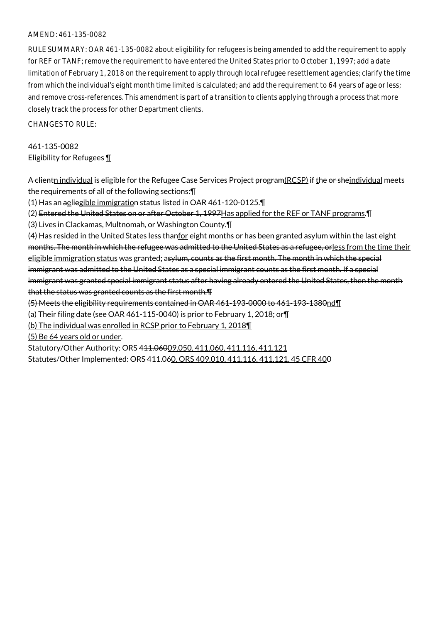## AMEND: 461-135-0082

RULE SUMMARY: OAR 461-135-0082 about eligibility for refugees is being amended to add the requirement to apply for REF or TANF; remove the requirement to have entered the United States prior to October 1, 1997; add a date limitation of February 1, 2018 on the requirement to apply through local refugee resettlement agencies; clarify the time from which the individual's eight month time limited is calculated; and add the requirement to 64 years of age or less; and remove cross-references. This amendment is part of a transition to clients applying through a process that more closely track the process for other Department clients.

CHANGES TO RULE:

461-135-0082 Eligibility for Refugees ¶

A clientn individual is eligible for the Refugee Case Services Project program(RCSP) if the or sheindividual meets the requirements of all of the following sections:¶ (1) Has an aeliegible immigration status listed in OAR 461-120-0125.¶

(2) Entered the United States on or after October 1, 1997 Has applied for the REF or TANF programs. IT

(3) Lives in Clackamas, Multnomah, or Washington County.¶

(4) Has resided in the United States less thanfor eight months or has been granted asylum within the last eight months. The month in which the refugee was admitted to the United States as a refugee, orless from the time their eligible immigration status was granted; asylum, counts as the first month. The month in which the special immigrant was admitted to the United States as a special immigrant counts as the first month. If a special immigrant was granted special immigrant status after having already entered the United States, then the month that the status was granted counts as the first month.¶

(5) Meets the eligibility requirements contained in OAR 461-193-0000 to 461-193-1380nd¶

(a) Their filing date (see OAR 461-115-0040) is prior to February 1, 2018; or¶

(b) The individual was enrolled in RCSP prior to February 1, 2018¶

(5) Be 64 years old or under.

Statutory/Other Authority: ORS 411.06009.050, 411.060, 411.116, 411.121 Statutes/Other Implemented: ORS 411.060, ORS 409.010, 411.116, 411.121, 45 CFR 400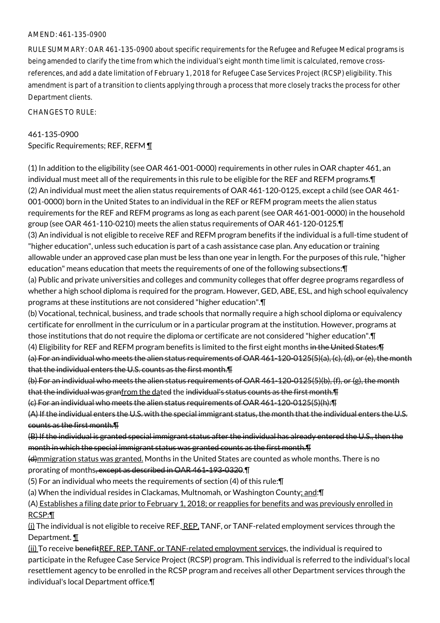## AMEND: 461-135-0900

RULE SUMMARY: OAR 461-135-0900 about specific requirements for the Refugee and Refugee Medical programs is being amended to clarify the time from which the individual's eight month time limit is calculated, remove crossreferences, and add a date limitation of February 1, 2018 for Refugee Case Services Project (RCSP) eligibility. This amendment is part of a transition to clients applying through a process that more closely tracks the process for other Department clients.

CHANGES TO RULE:

## 461-135-0900

Specific Requirements; REF, REFM 1

(1) In addition to the eligibility (see OAR 461-001-0000) requirements in other rules in OAR chapter 461, an individual must meet all of the requirements in this rule to be eligible for the REF and REFM programs.¶ (2) An individual must meet the alien status requirements of OAR 461-120-0125, except a child (see OAR 461- 001-0000) born in the United States to an individual in the REF or REFM program meets the alien status requirements for the REF and REFM programs as long as each parent (see OAR 461-001-0000) in the household group (see OAR 461-110-0210) meets the alien status requirements of OAR 461-120-0125.¶ (3) An individual is not eligible to receive REF and REFM program benefits if the individual is a full-time student of "higher education", unless such education is part of a cash assistance case plan. Any education or training allowable under an approved case plan must be less than one year in length. For the purposes of this rule, "higher education" means education that meets the requirements of one of the following subsections:¶ (a) Public and private universities and colleges and community colleges that offer degree programs regardless of whether a high school diploma is required for the program. However, GED, ABE, ESL, and high school equivalency programs at these institutions are not considered "higher education".¶ (b) Vocational, technical, business, and trade schools that normally require a high school diploma or equivalency certificate for enrollment in the curriculum or in a particular program at the institution. However, programs at those institutions that do not require the diploma or certificate are not considered "higher education".¶ (4) Eligibility for REF and REFM program benefits is limited to the first eight months in the United States:¶ (a) For an individual who meets the alien status requirements of OAR 461-120-0125(5)(a), (c), (d), or (e), the month that the individual enters the U.S. counts as the first month.¶ (b) For an individual who meets the alien status requirements of OAR 461-120-0125(5)(b), (f), or (g), the month that the individual was granfrom the dated the individual's status counts as the first month. I (c) For an individual who meets the alien status requirements of OAR 461-120-0125(5)(h):¶ (A) If the individual enters the U.S. with the special immigrant status, the month that the individual enters the U.S. counts as the first month.¶ (B) If the individual is granted special immigrant status after the individual has already entered the U.S., then the month in which the special immigrant status was granted counts as the first month.¶ (d)mmigration status was granted. Months in the United States are counted as whole months. There is no prorating of months, except as described in OAR 461-193-0320.¶ (5) For an individual who meets the requirements of section (4) of this rule:¶

(a) When the individual resides in Clackamas, Multnomah, or Washington County; and:¶

(A) Establishes a filing date prior to February 1, 2018; or reapplies for benefits and was previously enrolled in RCSP:¶

(i) The individual is not eligible to receive REF, REP, TANF, or TANF-related employment services through the Department. ¶

(ii) To receive benefitREF, REP, TANF, or TANF-related employment services, the individual is required to participate in the Refugee Case Service Project (RCSP) program. This individual is referred to the individual's local resettlement agency to be enrolled in the RCSP program and receives all other Department services through the individual's local Department office.¶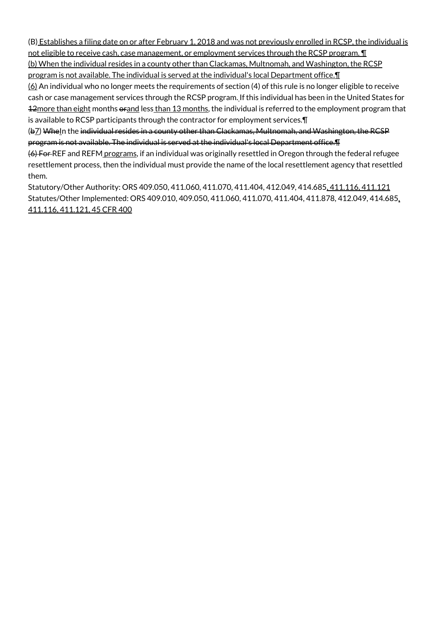(B) Establishes a filing date on or after February 1, 2018 and was not previously enrolled in RCSP, the individual is not eligible to receive cash, case management, or employment services through the RCSP program. **[1]** 

(b) When the individual resides in a county other than Clackamas, Multnomah, and Washington, the RCSP program is not available. The individual is served at the individual's local Department office. I

 $(6)$  An individual who no longer meets the requirements of section (4) of this rule is no longer eligible to receive cash or case management services through the RCSP program. If this individual has been in the United States for 12more than eight months orand less than 13 months, the individual is referred to the employment program that is available to RCSP participants through the contractor for employment services.¶

(b<sub>Z</sub>) WheIn the individual resides in a county other than Clackamas, Multnomah, and Washington, the RCSP program is not available. The individual is served at the individual's local Department office.¶

(6) For REF and REFM programs, if an individual was originally resettled in Oregon through the federal refugee resettlement process, then the individual must provide the name of the local resettlement agency that resettled them.

Statutory/Other Authority: ORS 409.050, 411.060, 411.070, 411.404, 412.049, 414.685, 411.116, 411.121 Statutes/Other Implemented: ORS 409.010, 409.050, 411.060, 411.070, 411.404, 411.878, 412.049, 414.685, 411.116, 411.121, 45 CFR 400